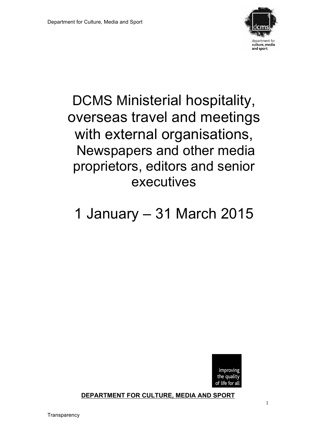

## DCMS Ministerial hospitality, overseas travel and meetings with external organisations, Newspapers and other media proprietors, editors and senior executives

# 1 January – 31 March 2015



**DEPARTMENT FOR CULTURE, MEDIA AND SPORT**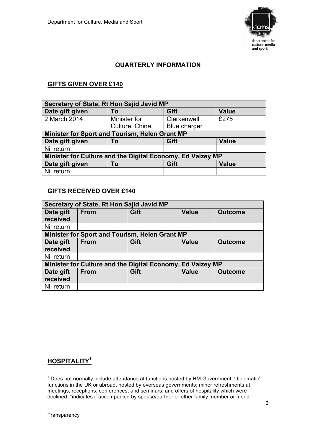

## **QUARTERLY INFORMATION**

## **GIFTS GIVEN OVER £140**

| Secretary of State, Rt Hon Sajid Javid MP                  |                |              |              |
|------------------------------------------------------------|----------------|--------------|--------------|
| Date gift given                                            | To             | Gift         | <b>Value</b> |
| 2 March 2014                                               | Minister for   | Clerkenwell  | £275         |
|                                                            | Culture, China | Blue charger |              |
| Minister for Sport and Tourism, Helen Grant MP             |                |              |              |
| Date gift given                                            | To             | Gift         | <b>Value</b> |
| Nil return                                                 |                |              |              |
| Minister for Culture and the Digital Economy, Ed Vaizey MP |                |              |              |
| Date gift given                                            | To             | Gift         | <b>Value</b> |
| Nil return                                                 |                |              |              |

#### **GIFTS RECEIVED OVER £140**

| Secretary of State, Rt Hon Sajid Javid MP |                                                            |                                                       |              |                |
|-------------------------------------------|------------------------------------------------------------|-------------------------------------------------------|--------------|----------------|
| Date gift<br>received                     | <b>From</b>                                                | Gift                                                  | <b>Value</b> | <b>Outcome</b> |
| Nil return                                |                                                            |                                                       |              |                |
|                                           |                                                            | <b>Minister for Sport and Tourism, Helen Grant MP</b> |              |                |
| Date gift                                 | <b>From</b>                                                | Gift                                                  | <b>Value</b> | <b>Outcome</b> |
| received                                  |                                                            |                                                       |              |                |
| Nil return                                |                                                            |                                                       |              |                |
|                                           | Minister for Culture and the Digital Economy, Ed Vaizey MP |                                                       |              |                |
| Date gift                                 | <b>From</b>                                                | Gift                                                  | <b>Value</b> | <b>Outcome</b> |
| received                                  |                                                            |                                                       |              |                |
| Nil return                                |                                                            |                                                       |              |                |

## **HOSPITALITY<sup>1</sup>**

 $1$  Does not normally include attendance at functions hosted by HM Government; 'diplomatic' functions in the UK or abroad, hosted by overseas governments; minor refreshments at meetings, receptions, conferences, and seminars; and offers of hospitality which were declined. \*indicates if accompanied by spouse/partner or other family member or friend.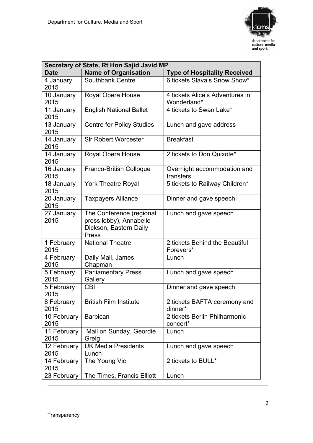

| Secretary of State, Rt Hon Sajid Javid MP |                                  |                                     |  |
|-------------------------------------------|----------------------------------|-------------------------------------|--|
| <b>Date</b>                               | <b>Name of Organisation</b>      | <b>Type of Hospitality Received</b> |  |
| 4 January                                 | Southbank Centre                 | 6 tickets Slava's Snow Show*        |  |
| 2015                                      |                                  |                                     |  |
| 10 January                                | Royal Opera House                | 4 tickets Alice's Adventures in     |  |
| 2015                                      |                                  | Wonderland*                         |  |
| 11 January                                | <b>English National Ballet</b>   | 4 tickets to Swan Lake*             |  |
| 2015                                      |                                  |                                     |  |
| 13 January                                | <b>Centre for Policy Studies</b> | Lunch and gave address              |  |
| 2015                                      |                                  |                                     |  |
| 14 January                                | <b>Sir Robert Worcester</b>      | <b>Breakfast</b>                    |  |
| 2015                                      |                                  |                                     |  |
| 14 January                                | Royal Opera House                | 2 tickets to Don Quixote*           |  |
| 2015                                      |                                  |                                     |  |
| 16 January                                | Franco-British Colloque          | Overnight accommodation and         |  |
| 2015                                      |                                  | transfers                           |  |
| 18 January                                | <b>York Theatre Royal</b>        | 5 tickets to Railway Children*      |  |
| 2015                                      |                                  |                                     |  |
| 20 January                                | <b>Taxpayers Alliance</b>        | Dinner and gave speech              |  |
| 2015                                      |                                  |                                     |  |
| 27 January                                | The Conference (regional         | Lunch and gave speech               |  |
| 2015                                      | press lobby), Annabelle          |                                     |  |
|                                           | Dickson, Eastern Daily<br>Press  |                                     |  |
| 1 February                                | <b>National Theatre</b>          | 2 tickets Behind the Beautiful      |  |
| 2015                                      |                                  | Forevers*                           |  |
| 4 February                                | Daily Mail, James                | Lunch                               |  |
| 2015                                      | Chapman                          |                                     |  |
| 5 February                                | <b>Parliamentary Press</b>       | Lunch and gave speech               |  |
| 2015                                      | Gallery                          |                                     |  |
| 5 February                                | CBI                              | Dinner and gave speech              |  |
| 2015                                      |                                  |                                     |  |
| 8 February                                | <b>British Film Institute</b>    | 2 tickets BAFTA ceremony and        |  |
| 2015                                      |                                  | dinner*                             |  |
| 10 February                               | <b>Barbican</b>                  | 2 tickets Berlin Philharmonic       |  |
| 2015                                      |                                  | concert*                            |  |
| 11 February                               | Mail on Sunday, Geordie          | Lunch                               |  |
| 2015                                      | Greig                            |                                     |  |
| 12 February                               | <b>UK Media Presidents</b>       | Lunch and gave speech               |  |
| 2015                                      | Lunch                            |                                     |  |
| 14 February                               | The Young Vic                    | 2 tickets to BULL*                  |  |
| 2015                                      |                                  |                                     |  |
| 23 February                               | The Times, Francis Elliott       | Lunch                               |  |

1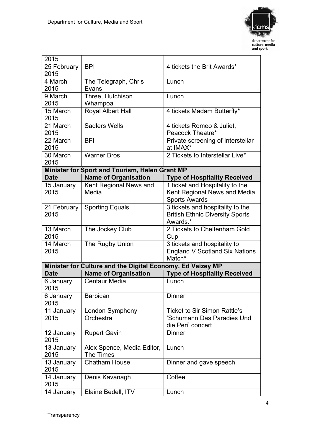

| 2015              |                                                            |                                        |
|-------------------|------------------------------------------------------------|----------------------------------------|
| 25 February       | <b>BPI</b>                                                 | 4 tickets the Brit Awards*             |
| 2015              |                                                            |                                        |
| 4 March           | The Telegraph, Chris                                       | Lunch                                  |
| 2015              | Evans                                                      |                                        |
| 9 March           | Three, Hutchison                                           | Lunch                                  |
| 2015              | Whampoa                                                    |                                        |
| 15 March          | Royal Albert Hall                                          | 4 tickets Madam Butterfly*             |
| 2015              |                                                            |                                        |
| 21 March          | <b>Sadlers Wells</b>                                       | 4 tickets Romeo & Juliet,              |
| 2015              |                                                            | Peacock Theatre*                       |
| 22 March          | <b>BFI</b>                                                 | Private screening of Interstellar      |
| 2015              |                                                            | at IMAX*                               |
| 30 March          | <b>Warner Bros</b>                                         | 2 Tickets to Interstellar Live*        |
| 2015              |                                                            |                                        |
|                   | Minister for Sport and Tourism, Helen Grant MP             |                                        |
| <b>Date</b>       | <b>Name of Organisation</b>                                | <b>Type of Hospitality Received</b>    |
| 15 January        | Kent Regional News and                                     | 1 ticket and Hospitality to the        |
| 2015              | Media                                                      | Kent Regional News and Media           |
|                   |                                                            | <b>Sports Awards</b>                   |
| 21 February       | <b>Sporting Equals</b>                                     | 3 tickets and hospitality to the       |
| 2015              |                                                            | <b>British Ethnic Diversity Sports</b> |
|                   |                                                            | Awards.*                               |
| 13 March          | The Jockey Club                                            | 2 Tickets to Cheltenham Gold           |
| 2015              |                                                            | Cup                                    |
| 14 March          | The Rugby Union                                            | 3 tickets and hospitality to           |
| 2015              |                                                            | <b>England V Scotland Six Nations</b>  |
|                   |                                                            | Match*                                 |
|                   | Minister for Culture and the Digital Economy, Ed Vaizey MP |                                        |
| <b>Date</b>       | <b>Name of Organisation</b>                                | <b>Type of Hospitality Received</b>    |
| 6 January<br>2015 | <b>Centaur Media</b>                                       | Lunch                                  |
| 6 January<br>2015 | <b>Barbican</b>                                            | <b>Dinner</b>                          |
| 11 January        | London Symphony                                            | <b>Ticket to Sir Simon Rattle's</b>    |
| 2015              | Orchestra                                                  | 'Schumann Das Paradies Und             |
|                   |                                                            | die Peri' concert                      |
| 12 January        | <b>Rupert Gavin</b>                                        | <b>Dinner</b>                          |
| 2015              |                                                            |                                        |
| 13 January        | Alex Spence, Media Editor,                                 | Lunch                                  |
| 2015              | The Times                                                  |                                        |
| 13 January        | <b>Chatham House</b>                                       | Dinner and gave speech                 |
| 2015              |                                                            |                                        |
| 14 January        | Denis Kavanagh                                             | Coffee                                 |
| 2015              |                                                            |                                        |
| 14 January        | Elaine Bedell, ITV                                         | Lunch                                  |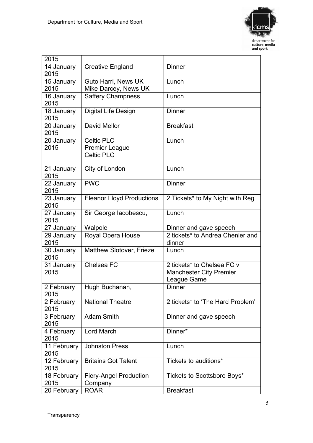

| 2015                |                                          |                                  |
|---------------------|------------------------------------------|----------------------------------|
| 14 January          | <b>Creative England</b>                  | <b>Dinner</b>                    |
| 2015                |                                          |                                  |
| 15 January          | Guto Harri, News UK                      | Lunch                            |
| 2015                | Mike Darcey, News UK                     |                                  |
| 16 January          | <b>Saffery Champness</b>                 | Lunch                            |
| 2015                |                                          |                                  |
| 18 January          | Digital Life Design                      | <b>Dinner</b>                    |
| 2015                |                                          |                                  |
| 20 January          | David Mellor                             | <b>Breakfast</b>                 |
| 2015                |                                          |                                  |
| 20 January          | <b>Celtic PLC</b>                        | Lunch                            |
| 2015                | <b>Premier League</b>                    |                                  |
|                     | <b>Celtic PLC</b>                        |                                  |
| 21 January          | City of London                           | Lunch                            |
| 2015                |                                          |                                  |
| 22 January          | <b>PWC</b>                               | <b>Dinner</b>                    |
| 2015                |                                          |                                  |
| 23 January          | <b>Eleanor Lloyd Productions</b>         | 2 Tickets* to My Night with Reg  |
| 2015                |                                          |                                  |
| 27 January          | Sir George Iacobescu,                    | Lunch                            |
| 2015                |                                          |                                  |
| 27 January          | Walpole                                  | Dinner and gave speech           |
| 29 January          | Royal Opera House                        | 2 tickets* to Andrea Chenier and |
| 2015                |                                          | dinner                           |
| 30 January          | <b>Matthew Slotover, Frieze</b>          | Lunch                            |
| 2015                |                                          |                                  |
| 31 January          | Chelsea FC                               | 2 tickets* to Chelsea FC v       |
| 2015                |                                          | <b>Manchester City Premier</b>   |
|                     |                                          |                                  |
|                     |                                          | League Game                      |
| 2 February          | Hugh Buchanan,                           | <b>Dinner</b>                    |
| 2015                |                                          |                                  |
| 2 February          | <b>National Theatre</b>                  | 2 tickets* to 'The Hard Problem' |
| 2015                |                                          |                                  |
| 3 February          | <b>Adam Smith</b>                        | Dinner and gave speech           |
| 2015                |                                          |                                  |
| 4 February          | <b>Lord March</b>                        | Dinner*                          |
| 2015                |                                          |                                  |
| 11 February         | <b>Johnston Press</b>                    | Lunch                            |
| 2015                |                                          |                                  |
| 12 February         | <b>Britains Got Talent</b>               | Tickets to auditions*            |
| 2015                |                                          |                                  |
| 18 February<br>2015 | <b>Fiery-Angel Production</b><br>Company | Tickets to Scottsboro Boys*      |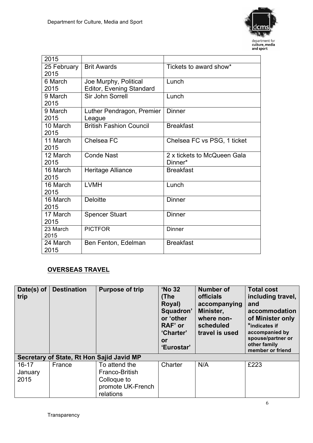

| 2015        |                                |                             |
|-------------|--------------------------------|-----------------------------|
| 25 February | <b>Brit Awards</b>             | Tickets to award show*      |
| 2015        |                                |                             |
| 6 March     | Joe Murphy, Political          | Lunch                       |
| 2015        | Editor, Evening Standard       |                             |
| 9 March     | Sir John Sorrell               | Lunch                       |
| 2015        |                                |                             |
| 9 March     | Luther Pendragon, Premier      | <b>Dinner</b>               |
| 2015        | League                         |                             |
| 10 March    | <b>British Fashion Council</b> | <b>Breakfast</b>            |
| 2015        |                                |                             |
| 11 March    | Chelsea FC                     | Chelsea FC vs PSG, 1 ticket |
| 2015        |                                |                             |
| 12 March    | <b>Conde Nast</b>              | 2 x tickets to McQueen Gala |
| 2015        |                                | Dinner*                     |
| 16 March    | Heritage Alliance              | <b>Breakfast</b>            |
| 2015        |                                |                             |
| 16 March    | <b>LVMH</b>                    | Lunch                       |
| 2015        |                                |                             |
| 16 March    | <b>Deloitte</b>                | <b>Dinner</b>               |
| 2015        |                                |                             |
| 17 March    | <b>Spencer Stuart</b>          | <b>Dinner</b>               |
| 2015        |                                |                             |
| 23 March    | <b>PICTFOR</b>                 | <b>Dinner</b>               |
| 2015        |                                |                             |
| 24 March    | Ben Fenton, Edelman            | <b>Breakfast</b>            |
| 2015        |                                |                             |

## **OVERSEAS TRAVEL**

| Date(s) of<br>trip           | <b>Destination</b>                        | <b>Purpose of trip</b>                                                           | 'No 32<br>(The<br>Royal)<br>Squadron'<br>or 'other<br>RAF' or<br>'Charter'<br>or<br>'Eurostar' | <b>Number of</b><br><b>officials</b><br>accompanying<br>Minister,<br>where non-<br>scheduled<br>travel is used | <b>Total cost</b><br>including travel,<br>and<br>accommodation<br>of Minister only<br>*indicates if<br>accompanied by<br>spouse/partner or<br>other family<br>member or friend |
|------------------------------|-------------------------------------------|----------------------------------------------------------------------------------|------------------------------------------------------------------------------------------------|----------------------------------------------------------------------------------------------------------------|--------------------------------------------------------------------------------------------------------------------------------------------------------------------------------|
|                              | Secretary of State, Rt Hon Sajid Javid MP |                                                                                  |                                                                                                |                                                                                                                |                                                                                                                                                                                |
| $16 - 17$<br>January<br>2015 | France                                    | To attend the<br>Franco-British<br>Colloque to<br>promote UK-French<br>relations | Charter                                                                                        | N/A                                                                                                            | £223                                                                                                                                                                           |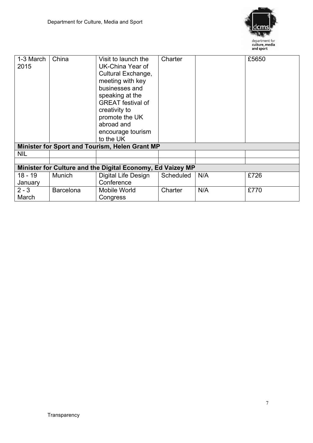

| 1-3 March<br>2015    | China            | Visit to launch the<br>UK-China Year of<br>Cultural Exchange,<br>meeting with key<br>businesses and<br>speaking at the<br><b>GREAT</b> festival of<br>creativity to<br>promote the UK<br>abroad and<br>encourage tourism<br>to the UK | Charter   |     | £5650 |
|----------------------|------------------|---------------------------------------------------------------------------------------------------------------------------------------------------------------------------------------------------------------------------------------|-----------|-----|-------|
|                      |                  | Minister for Sport and Tourism, Helen Grant MP                                                                                                                                                                                        |           |     |       |
| <b>NIL</b>           |                  |                                                                                                                                                                                                                                       |           |     |       |
|                      |                  |                                                                                                                                                                                                                                       |           |     |       |
|                      |                  | Minister for Culture and the Digital Economy, Ed Vaizey MP                                                                                                                                                                            |           |     |       |
| $18 - 19$<br>January | Munich           | Digital Life Design<br>Conference                                                                                                                                                                                                     | Scheduled | N/A | £726  |
| $2 - 3$<br>March     | <b>Barcelona</b> | Mobile World<br>Congress                                                                                                                                                                                                              | Charter   | N/A | £770  |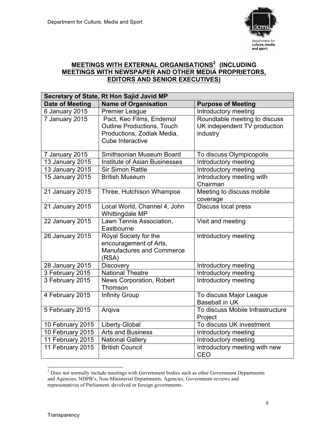

## **MEETINGS WITH EXTERNAL ORGANISATIONS<sup>2</sup> (INCLUDING MEETINGS WITH NEWSPAPER AND OTHER MEDIA PROPRIETORS, EDITORS AND SENIOR EXECUTIVES)**

|                                      | Secretary of State, Rt Hon Sajid Javid MP         |                                                           |  |
|--------------------------------------|---------------------------------------------------|-----------------------------------------------------------|--|
| <b>Date of Meeting</b>               | <b>Name of Organisation</b>                       | <b>Purpose of Meeting</b>                                 |  |
| 6 January 2015                       | <b>Premier League</b>                             | Introductory meeting                                      |  |
| 7 January 2015                       | Pact, Keo Films, Endemol                          | Roundtable meeting to discuss                             |  |
|                                      | <b>Outline Productions, Touch</b>                 | UK independent TV production                              |  |
|                                      | Productions, Zodiak Media,                        | industry                                                  |  |
|                                      | Cube Interactive                                  |                                                           |  |
| 7 January 2015                       | Smithsonian Museum Board                          | To discuss Olympicopolis                                  |  |
| 13 January 2015                      | <b>Institute of Asian Businesses</b>              | Introductory meeting                                      |  |
| 13 January 2015                      | <b>Sir Simon Rattle</b>                           | Introductory meeting                                      |  |
| 15 January 2015                      | <b>British Museum</b>                             | Introductory meeting with                                 |  |
|                                      |                                                   | Chairman                                                  |  |
| 21 January 2015                      | Three, Hutchison Whampoa                          | Meeting to discuss mobile                                 |  |
|                                      |                                                   | coverage                                                  |  |
| 21 January 2015                      | Local World, Channel 4, John                      | Discuss local press                                       |  |
|                                      | Whittingdale MP                                   |                                                           |  |
| 22 January 2015                      | Lawn Tennis Association,                          | Visit and meeting                                         |  |
|                                      | Eastbourne                                        |                                                           |  |
| 26 January 2015                      | Royal Society for the                             | Introductory meeting                                      |  |
|                                      | encouragement of Arts,                            |                                                           |  |
|                                      | <b>Manufactures and Commerce</b>                  |                                                           |  |
|                                      | (RSA)                                             |                                                           |  |
| 28 January 2015                      | <b>Discovery</b>                                  | Introductory meeting                                      |  |
| 3 February 2015                      | <b>National Theatre</b>                           | Introductory meeting                                      |  |
| 3 February 2015                      | News Corporation, Robert                          | Introductory meeting                                      |  |
|                                      | Thomson                                           |                                                           |  |
| 4 February 2015                      | <b>Infinity Group</b>                             | To discuss Major League                                   |  |
|                                      |                                                   | <b>Baseball in UK</b><br>To discuss Mobile Infrastructure |  |
| 5 February 2015                      | Argiva                                            |                                                           |  |
| 10 February 2015                     | <b>Liberty Global</b>                             | Project<br>To discuss UK investment                       |  |
|                                      | <b>Arts and Business</b>                          |                                                           |  |
| 10 February 2015                     |                                                   | Introductory meeting                                      |  |
| 11 February 2015<br>11 February 2015 | <b>National Gallery</b><br><b>British Council</b> | Introductory meeting<br>Introductory meeting with new     |  |
|                                      |                                                   | CEO                                                       |  |
|                                      |                                                   |                                                           |  |

<sup>&</sup>lt;sup>2</sup> Does not normally include meetings with Government bodies such as other Government Departments and Agencies, NDPB's, Non-Ministerial Departments, Agencies, Government reviews and representatives of Parliament, devolved or foreign governments.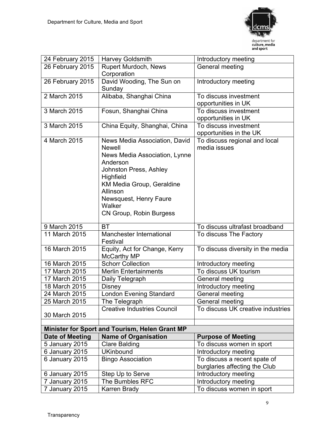

| 24 February 2015 | <b>Harvey Goldsmith</b>                                                       | Introductory meeting              |
|------------------|-------------------------------------------------------------------------------|-----------------------------------|
| 26 February 2015 | Rupert Murdoch, News                                                          | General meeting                   |
|                  | Corporation                                                                   |                                   |
| 26 February 2015 | David Wooding, The Sun on                                                     | Introductory meeting              |
|                  | Sunday                                                                        |                                   |
| 2 March 2015     | Alibaba, Shanghai China                                                       | To discuss investment             |
|                  |                                                                               | opportunities in UK               |
| 3 March 2015     | Fosun, Shanghai China                                                         | To discuss investment             |
|                  |                                                                               | opportunities in UK               |
| 3 March 2015     | China Equity, Shanghai, China                                                 | To discuss investment             |
|                  |                                                                               | opportunities in the UK           |
| 4 March 2015     | News Media Association, David                                                 | To discuss regional and local     |
|                  | <b>Newell</b>                                                                 | media issues                      |
|                  | News Media Association, Lynne                                                 |                                   |
|                  | Anderson                                                                      |                                   |
|                  | <b>Johnston Press, Ashley</b>                                                 |                                   |
|                  | Highfield                                                                     |                                   |
|                  | KM Media Group, Geraldine                                                     |                                   |
|                  | Allinson                                                                      |                                   |
|                  | Newsquest, Henry Faure                                                        |                                   |
|                  | Walker                                                                        |                                   |
|                  | CN Group, Robin Burgess                                                       |                                   |
| 9 March 2015     | <b>BT</b>                                                                     | To discuss ultrafast broadband    |
| 11 March 2015    | Manchester International                                                      | To discuss The Factory            |
|                  | Festival                                                                      |                                   |
| 16 March 2015    | Equity, Act for Change, Kerry                                                 | To discuss diversity in the media |
|                  | <b>McCarthy MP</b>                                                            |                                   |
| 16 March 2015    | <b>Schorr Collection</b>                                                      | Introductory meeting              |
| 17 March 2015    | <b>Merlin Entertainments</b>                                                  | To discuss UK tourism             |
| 17 March 2015    | Daily Telegraph                                                               | General meeting                   |
| 18 March 2015    | Disney                                                                        | Introductory meeting              |
| 24 March 2015    | <b>London Evening Standard</b>                                                | General meeting                   |
| 25 March 2015    | The Telegraph                                                                 | General meeting                   |
|                  | <b>Creative Industries Council</b>                                            | To discuss UK creative industries |
| 30 March 2015    |                                                                               |                                   |
|                  |                                                                               |                                   |
| Date of Meeting  | Minister for Sport and Tourism, Helen Grant MP<br><b>Name of Organisation</b> | <b>Purpose of Meeting</b>         |
| 5 January 2015   | <b>Clare Balding</b>                                                          | To discuss women in sport         |
| 6 January 2015   | <b>UKinbound</b>                                                              | Introductory meeting              |
| 6 January 2015   | <b>Bingo Association</b>                                                      | To discuss a recent spate of      |
|                  |                                                                               | burglaries affecting the Club     |
| 6 January 2015   | Step Up to Serve                                                              | Introductory meeting              |
| 7 January 2015   | The Bumbles RFC                                                               | Introductory meeting              |
| 7 January 2015   | Karren Brady                                                                  | To discuss women in sport         |
|                  |                                                                               |                                   |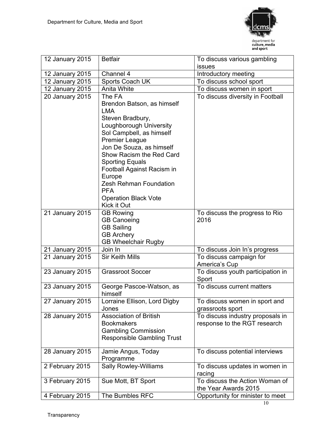

| 12 January 2015 | <b>Betfair</b>                                                                                                                                                                                                                                                                                                                                                                | To discuss various gambling                                      |
|-----------------|-------------------------------------------------------------------------------------------------------------------------------------------------------------------------------------------------------------------------------------------------------------------------------------------------------------------------------------------------------------------------------|------------------------------------------------------------------|
|                 |                                                                                                                                                                                                                                                                                                                                                                               | issues                                                           |
| 12 January 2015 | Channel 4                                                                                                                                                                                                                                                                                                                                                                     | Introductory meeting                                             |
| 12 January 2015 | Sports Coach UK                                                                                                                                                                                                                                                                                                                                                               | To discuss school sport                                          |
| 12 January 2015 | <b>Anita White</b>                                                                                                                                                                                                                                                                                                                                                            | To discuss women in sport                                        |
| 20 January 2015 | The FA<br>Brendon Batson, as himself<br><b>LMA</b><br>Steven Bradbury,<br>Loughborough University<br>Sol Campbell, as himself<br><b>Premier League</b><br>Jon De Souza, as himself<br>Show Racism the Red Card<br><b>Sporting Equals</b><br>Football Against Racism in<br>Europe<br><b>Zesh Rehman Foundation</b><br><b>PFA</b><br><b>Operation Black Vote</b><br>Kick it Out | To discuss diversity in Football                                 |
| 21 January 2015 | <b>GB Rowing</b><br><b>GB Canoeing</b><br><b>GB Sailing</b><br><b>GB Archery</b><br><b>GB Wheelchair Rugby</b>                                                                                                                                                                                                                                                                | To discuss the progress to Rio<br>2016                           |
| 21 January 2015 | Join In                                                                                                                                                                                                                                                                                                                                                                       | To discuss Join In's progress                                    |
| 21 January 2015 | <b>Sir Keith Mills</b>                                                                                                                                                                                                                                                                                                                                                        | To discuss campaign for<br>America's Cup                         |
| 23 January 2015 | <b>Grassroot Soccer</b>                                                                                                                                                                                                                                                                                                                                                       | To discuss youth participation in<br>Sport                       |
| 23 January 2015 | George Pascoe-Watson, as<br>himself                                                                                                                                                                                                                                                                                                                                           | To discuss current matters                                       |
| 27 January 2015 | Lorraine Ellison, Lord Digby<br>Jones                                                                                                                                                                                                                                                                                                                                         | To discuss women in sport and<br>grassroots sport                |
| 28 January 2015 | <b>Association of British</b><br><b>Bookmakers</b><br><b>Gambling Commission</b><br><b>Responsible Gambling Trust</b>                                                                                                                                                                                                                                                         | To discuss industry proposals in<br>response to the RGT research |
| 28 January 2015 | Jamie Angus, Today<br>Programme                                                                                                                                                                                                                                                                                                                                               | To discuss potential interviews                                  |
| 2 February 2015 | <b>Sally Rowley-Williams</b>                                                                                                                                                                                                                                                                                                                                                  | To discuss updates in women in<br>racing                         |
| 3 February 2015 | Sue Mott, BT Sport                                                                                                                                                                                                                                                                                                                                                            | To discuss the Action Woman of<br>the Year Awards 2015           |
| 4 February 2015 | The Bumbles RFC                                                                                                                                                                                                                                                                                                                                                               | Opportunity for minister to meet                                 |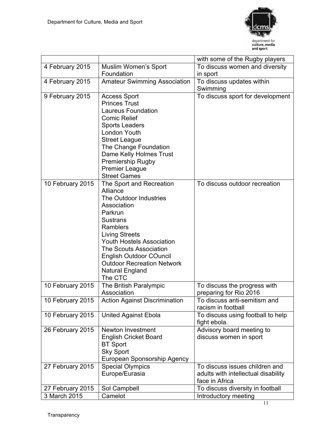

|                  |                                                 | with some of the Rugby players                     |
|------------------|-------------------------------------------------|----------------------------------------------------|
| 4 February 2015  | <b>Muslim Women's Sport</b>                     | To discuss women and diversity                     |
|                  | Foundation                                      | in sport                                           |
| 4 February 2015  | <b>Amateur Swimming Association</b>             | To discuss updates within                          |
|                  |                                                 | Swimming                                           |
| 9 February 2015  | <b>Access Sport</b>                             | To discuss sport for development                   |
|                  | <b>Princes Trust</b>                            |                                                    |
|                  | <b>Laureus Foundation</b>                       |                                                    |
|                  | <b>Comic Relief</b>                             |                                                    |
|                  | <b>Sports Leaders</b>                           |                                                    |
|                  | London Youth                                    |                                                    |
|                  | <b>Street League</b>                            |                                                    |
|                  | The Change Foundation                           |                                                    |
|                  | Dame Kelly Holmes Trust                         |                                                    |
|                  | <b>Premiership Rugby</b>                        |                                                    |
|                  | <b>Premier League</b>                           |                                                    |
|                  | <b>Street Games</b>                             |                                                    |
| 10 February 2015 | The Sport and Recreation                        | To discuss outdoor recreation                      |
|                  | Alliance                                        |                                                    |
|                  | The Outdoor Industries                          |                                                    |
|                  | Association                                     |                                                    |
|                  | Parkrun                                         |                                                    |
|                  | <b>Sustrans</b>                                 |                                                    |
|                  | <b>Ramblers</b>                                 |                                                    |
|                  | <b>Living Streets</b>                           |                                                    |
|                  | <b>Youth Hostels Association</b>                |                                                    |
|                  | <b>The Scouts Association</b>                   |                                                    |
|                  | <b>English Outdoor COuncil</b>                  |                                                    |
|                  | <b>Outdoor Recreation Network</b>               |                                                    |
|                  | <b>Natural England</b>                          |                                                    |
|                  | The CTC                                         |                                                    |
| 10 February 2015 | The British Paralympic                          | To discuss the progress with                       |
|                  | Association                                     | preparing for Rio 2016                             |
| 10 February 2015 | <b>Action Against Discrimination</b>            | To discuss anti-semitism and<br>racism in football |
|                  |                                                 |                                                    |
| 10 February 2015 | <b>United Against Ebola</b>                     | To discuss using football to help                  |
|                  |                                                 | fight ebola.                                       |
| 26 February 2015 | Newton Investment                               | Advisory board meeting to                          |
|                  | <b>English Cricket Board</b><br><b>BT Sport</b> | discuss women in sport                             |
|                  |                                                 |                                                    |
|                  | <b>Sky Sport</b><br>European Sponsorship Agency |                                                    |
| 27 February 2015 | <b>Special Olympics</b>                         | To discuss issues children and                     |
|                  | Europe/Eurasia                                  | adults with intellectual disability                |
|                  |                                                 | face in Africa                                     |
| 27 February 2015 | Sol Campbell                                    | To discuss diversity in football                   |
| 3 March 2015     | Camelot                                         | Introductory meeting                               |
|                  |                                                 |                                                    |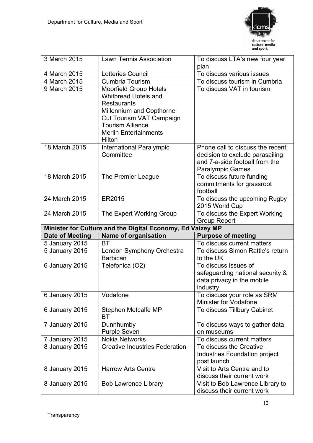

| 3 March 2015    | <b>Lawn Tennis Association</b>                                                                                                                                                                                  | To discuss LTA's new four year<br>plan                                                                                           |  |  |  |  |  |
|-----------------|-----------------------------------------------------------------------------------------------------------------------------------------------------------------------------------------------------------------|----------------------------------------------------------------------------------------------------------------------------------|--|--|--|--|--|
| 4 March 2015    | <b>Lotteries Council</b>                                                                                                                                                                                        | To discuss various issues                                                                                                        |  |  |  |  |  |
| 4 March 2015    | <b>Cumbria Tourism</b>                                                                                                                                                                                          | To discuss tourism in Cumbria                                                                                                    |  |  |  |  |  |
| 9 March 2015    | <b>Moorfield Group Hotels</b><br><b>Whitbread Hotels and</b><br><b>Restaurants</b><br>Millennium and Copthorne<br>Cut Tourism VAT Campaign<br><b>Tourism Alliance</b><br><b>Merlin Entertainments</b><br>Hilton | To discuss VAT in tourism                                                                                                        |  |  |  |  |  |
| 18 March 2015   | International Paralympic<br>Committee                                                                                                                                                                           | Phone call to discuss the recent<br>decision to exclude parasailing<br>and 7-a-side football from the<br><b>Paralympic Games</b> |  |  |  |  |  |
| 18 March 2015   | The Premier League                                                                                                                                                                                              | To discuss future funding<br>commitments for grassroot<br>football                                                               |  |  |  |  |  |
| 24 March 2015   | ER2015                                                                                                                                                                                                          | To discuss the upcoming Rugby<br>2015 World Cup                                                                                  |  |  |  |  |  |
| 24 March 2015   | The Expert Working Group                                                                                                                                                                                        | To discuss the Expert Working<br><b>Group Report</b>                                                                             |  |  |  |  |  |
|                 | Minister for Culture and the Digital Economy, Ed Vaizey MP                                                                                                                                                      |                                                                                                                                  |  |  |  |  |  |
|                 |                                                                                                                                                                                                                 |                                                                                                                                  |  |  |  |  |  |
| Date of Meeting | <b>Name of organisation</b>                                                                                                                                                                                     | <b>Purpose of meeting</b>                                                                                                        |  |  |  |  |  |
| 5 January 2015  | <b>BT</b>                                                                                                                                                                                                       | To discuss current matters                                                                                                       |  |  |  |  |  |
| 5 January 2015  | London Symphony Orchestra<br><b>Barbican</b>                                                                                                                                                                    | To discuss Simon Rattle's return<br>to the UK                                                                                    |  |  |  |  |  |
| 6 January 2015  | Telefonica (O2)                                                                                                                                                                                                 | To discuss issues of<br>safeguarding national security &<br>data privacy in the mobile<br>industry                               |  |  |  |  |  |
| 6 January 2015  | Vodafone                                                                                                                                                                                                        | To discuss your role as SRM<br>Minister for Vodafone                                                                             |  |  |  |  |  |
| 6 January 2015  | Stephen Metcalfe MP<br>ВT                                                                                                                                                                                       | To discuss Tillbury Cabinet                                                                                                      |  |  |  |  |  |
| 7 January 2015  | Dunnhumby<br><b>Purple Seven</b>                                                                                                                                                                                | To discuss ways to gather data<br>on museums                                                                                     |  |  |  |  |  |
| 7 January 2015  | <b>Nokia Networks</b>                                                                                                                                                                                           | To discuss current matters                                                                                                       |  |  |  |  |  |
| 8 January 2015  | <b>Creative Industries Federation</b>                                                                                                                                                                           | To discuss the Creative<br><b>Industries Foundation project</b><br>post launch                                                   |  |  |  |  |  |
| 8 January 2015  | <b>Harrow Arts Centre</b>                                                                                                                                                                                       | Visit to Arts Centre and to<br>discuss their current work                                                                        |  |  |  |  |  |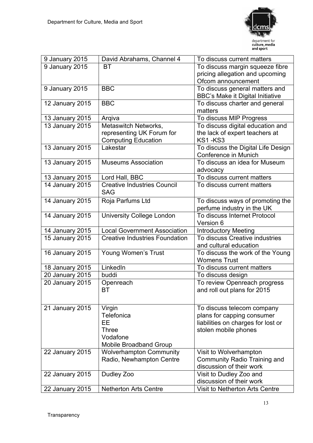

| 9 January 2015  | David Abrahams, Channel 4             | To discuss current matters              |
|-----------------|---------------------------------------|-----------------------------------------|
| 9 January 2015  | ВT                                    | To discuss margin squeeze fibre         |
|                 |                                       | pricing allegation and upcoming         |
|                 |                                       | Ofcom announcement                      |
| 9 January 2015  | <b>BBC</b>                            | To discuss general matters and          |
|                 |                                       | <b>BBC's Make it Digital Initiative</b> |
| 12 January 2015 | <b>BBC</b>                            | To discuss charter and general          |
|                 |                                       | matters                                 |
| 13 January 2015 | Argiva                                | To discuss MIP Progress                 |
| 13 January 2015 | Metaswitch Networks,                  | To discuss digital education and        |
|                 | representing UK Forum for             | the lack of expert teachers at          |
|                 | <b>Computing Education</b>            | KS1-KS3                                 |
| 13 January 2015 | Lakestar                              | To discuss the Digital Life Design      |
|                 |                                       | Conference in Munich                    |
| 13 January 2015 | <b>Museums Association</b>            | To discuss an idea for Museum           |
|                 |                                       | advocacy                                |
| 13 January 2015 | Lord Hall, BBC                        | To discuss current matters              |
| 14 January 2015 | <b>Creative Industries Council</b>    | To discuss current matters              |
|                 | <b>SAG</b>                            |                                         |
| 14 January 2015 | Roja Parfums Ltd                      | To discuss ways of promoting the        |
|                 |                                       | perfume industry in the UK              |
| 14 January 2015 | <b>University College London</b>      | To discuss Internet Protocol            |
|                 |                                       | Version 6                               |
| 14 January 2015 | <b>Local Government Association</b>   | <b>Introductory Meeting</b>             |
| 15 January 2015 | <b>Creative Industries Foundation</b> | To discuss Creative industries          |
|                 |                                       | and cultural education                  |
| 16 January 2015 | Young Women's Trust                   | To discuss the work of the Young        |
|                 |                                       | <b>Womens Trust</b>                     |
| 18 January 2015 | LinkedIn                              | To discuss current matters              |
| 20 January 2015 | buddi                                 | To discuss design                       |
| 20 January 2015 | Openreach                             | To review Openreach progress            |
|                 | ВT                                    | and roll out plans for 2015             |
|                 |                                       |                                         |
| 21 January 2015 | Virgin                                | To discuss telecom company              |
|                 | <b>Telefonica</b>                     | plans for capping consumer              |
|                 | EЕ                                    | liabilities on charges for lost or      |
|                 | Three                                 | stolen mobile phones                    |
|                 | Vodafone                              |                                         |
|                 | Mobile Broadband Group                |                                         |
| 22 January 2015 | <b>Wolverhampton Community</b>        | Visit to Wolverhampton                  |
|                 | Radio, Newhampton Centre              | <b>Community Radio Training and</b>     |
|                 |                                       | discussion of their work                |
| 22 January 2015 | Dudley Zoo                            | Visit to Dudley Zoo and                 |
|                 |                                       | discussion of their work                |
| 22 January 2015 | <b>Netherton Arts Centre</b>          | Visit to Netherton Arts Centre          |
|                 |                                       |                                         |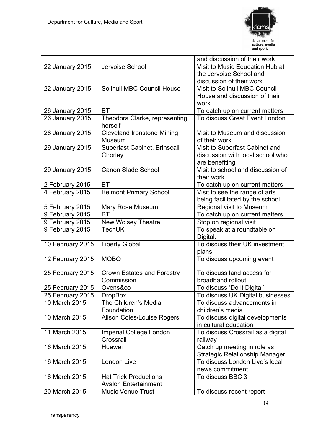

|                  |                                   | and discussion of their work          |
|------------------|-----------------------------------|---------------------------------------|
| 22 January 2015  | Jervoise School                   | Visit to Music Education Hub at       |
|                  |                                   | the Jervoise School and               |
|                  |                                   | discussion of their work              |
| 22 January 2015  | Solihull MBC Council House        | <b>Visit to Solihull MBC Council</b>  |
|                  |                                   | House and discussion of their         |
|                  |                                   | work                                  |
| 26 January 2015  | <b>BT</b>                         | To catch up on current matters        |
| 26 January 2015  | Theodora Clarke, representing     | To discuss Great Event London         |
|                  | herself                           |                                       |
| 28 January 2015  | <b>Cleveland Ironstone Mining</b> | Visit to Museum and discussion        |
|                  | Museum                            | of their work                         |
| 29 January 2015  | Superfast Cabinet, Brinscall      | Visit to Superfast Cabinet and        |
|                  | Chorley                           | discussion with local school who      |
|                  |                                   | are benefiting                        |
| 29 January 2015  | <b>Canon Slade School</b>         | Visit to school and discussion of     |
|                  |                                   | their work                            |
| 2 February 2015  | <b>BT</b>                         | To catch up on current matters        |
| 4 February 2015  | <b>Belmont Primary School</b>     | Visit to see the range of arts        |
|                  |                                   | being facilitated by the school       |
| 5 February 2015  | Mary Rose Museum                  | Regional visit to Museum              |
| 9 February 2015  | <b>BT</b>                         | To catch up on current matters        |
| 9 February 2015  | New Wolsey Theatre                | Stop on regional visit                |
| 9 February 2015  | TechUK                            | To speak at a roundtable on           |
|                  |                                   | Digital.                              |
| 10 February 2015 | <b>Liberty Global</b>             | To discuss their UK investment        |
|                  |                                   | plans                                 |
| 12 February 2015 | <b>MOBO</b>                       | To discuss upcoming event             |
|                  |                                   |                                       |
| 25 February 2015 | Crown Estates and Forestry        | To discuss land access for            |
|                  | Commission                        | broadband rollout                     |
| 25 February 2015 | Ovens&co                          | To discuss 'Do it Digital'            |
| 25 February 2015 | <b>DropBox</b>                    | To discuss UK Digital businesses      |
| 10 March 2015    | The Children's Media              | To discuss advancements in            |
|                  | Foundation                        | children's media                      |
| 10 March 2015    | Alison Coles/Louise Rogers        | To discuss digital developments       |
|                  |                                   | in cultural education                 |
| 11 March 2015    | Imperial College London           | To discuss Crossrail as a digital     |
|                  | Crossrail                         | railway                               |
| 16 March 2015    | Huawei                            | Catch up meeting in role as           |
|                  |                                   | <b>Strategic Relationship Manager</b> |
| 16 March 2015    | London Live                       | To discuss London Live's local        |
|                  |                                   | news commitment                       |
| 16 March 2015    | <b>Hat Trick Productions</b>      | To discuss BBC 3                      |
|                  | <b>Avalon Entertainment</b>       |                                       |
| 20 March 2015    | <b>Music Venue Trust</b>          | To discuss recent report              |
|                  |                                   |                                       |